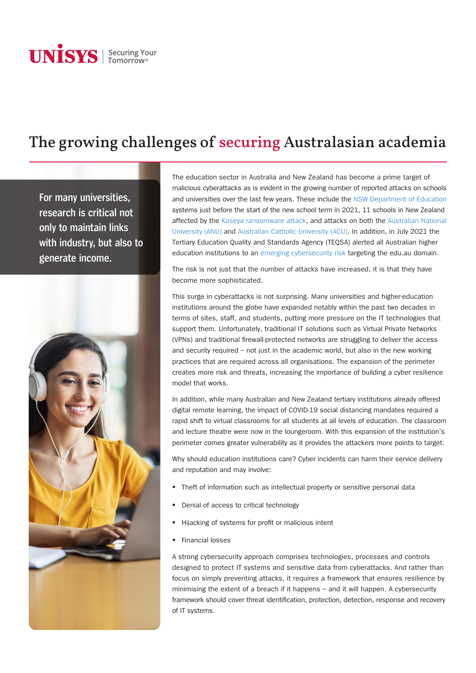# **UNISYS** Securing Your

# The growing challenges of securing Australasian academia

**For many universities, research is critical not only to maintain links with industry, but also to generate income.**



The education sector in Australia and New Zealand has become a prime target of malicious cyberattacks as is evident in the growing number of reported attacks on schools and universities over the last few years. These include the [NSW Department of Education](https://www.education.nsw.gov.au/news/media-releases/nsw-department-of-education-networks-) systems just before the start of the new school term in 2021, 11 schools in New Zealand affected by the [Kaseya ransomware attack,](https://www.stuff.co.nz/national/education/300350847/kaseya-hack-number-of-schools-affected-lower-than-expected-government-says) and attacks on both the [Australian National](https://www.anu.edu.au/news/all-news/data-breach)  [University \(ANU\)](https://www.anu.edu.au/news/all-news/data-breach) and [Australian Catholic University \(ACU\).](https://www.acu.edu.au/about-acu/news/2019/june/cyber-attack-on-acu-it-systems) In addition, in July 2021 the Tertiary Education Quality and Standards Agency (TEQSA) alerted all Australian higher education institutions to an [emerging cybersecurity risk](https://www.inside.unsw.edu.au/innovation-and-engagement/new-cyber-threat-alert-higher-education-sector) targeting the edu.au domain.

The risk is not just that the number of attacks have increased, it is that they have become more sophisticated.

This surge in cyberattacks is not surprising. Many universities and higher-education institutions around the globe have expanded notably within the past two decades in terms of sites, staff, and students, putting more pressure on the IT technologies that support them. Unfortunately, traditional IT solutions such as Virtual Private Networks (VPNs) and traditional firewall-protected networks are struggling to deliver the access and security required  $-$  not just in the academic world, but also in the new working practices that are required across all organisations. The expansion of the perimeter creates more risk and threats, increasing the importance of building a cyber resilience model that works.

In addition, while many Australian and New Zealand tertiary institutions already offered digital remote learning, the impact of COVID-19 social distancing mandates required a rapid shift to virtual classrooms for all students at all levels of education. The classroom and lecture theatre were now in the loungeroom. With this expansion of the institution's perimeter comes greater vulnerability as it provides the attackers more points to target.

Why should education institutions care? Cyber incidents can harm their service delivery and reputation and may involve:

- Theft of information such as intellectual property or sensitive personal data
- Denial of access to critical technology
- Hijacking of systems for profit or malicious intent
- Financial losses

A strong cybersecurity approach comprises technologies, processes and controls designed to protect IT systems and sensitive data from cyberattacks. And rather than focus on simply preventing attacks, it requires a framework that ensures resilience by minimising the extent of a breach if it happens – and it will happen. A cybersecurity framework should cover threat identification, protection, detection, response and recovery of IT systems.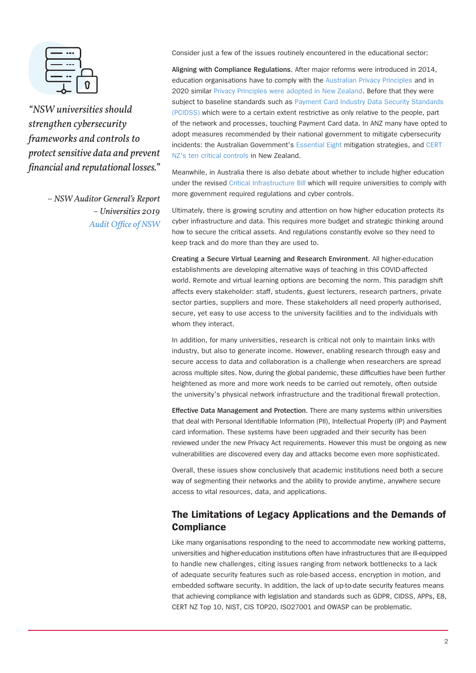

*"NSW universities should strengthen cybersecurity frameworks and controls to protect sensitive data and prevent financial and reputational losses."*

> *– NSW Auditor General's Report – Universities 2019 [Audit Office of NSW](https://www.audit.nsw.gov.au/our-work/reports/universities-2019-audits)*

Consider just a few of the issues routinely encountered in the educational sector:

**Aligning with Compliance Regulations**. After major reforms were introduced in 2014, education organisations have to comply with the [Australian Privacy Principles](https://www.oaic.gov.au/privacy/the-privacy-act/history-of-the-privacy-act/) and in 2020 similar [Privacy Principles were adopted in New Zealand.](https://www.privacy.org.nz/privacy-act-2020/privacy-principles/) Before that they were subject to baseline standards such as Payment Card Industry Data Security Standards [\(PCIDSS\)](https://www.pcisecuritystandards.org/pci_security/maintaining_payment_security) which were to a certain extent restrictive as only relative to the people, part of the network and processes, touching Payment Card data. In ANZ many have opted to adopt measures recommended by their national government to mitigate cybersecurity incidents: the Australian Government's [Essential Eight](https://www.cyber.gov.au/acsc/view-all-content/essential-eight) mitigation strategies, and [CERT](https://www.cert.govt.nz/it-specialists/critical-controls/10-critical-controls/)  [NZ's ten critical controls](https://www.cert.govt.nz/it-specialists/critical-controls/10-critical-controls/) in New Zealand.

Meanwhile, in Australia there is also debate about whether to include higher education under the revised [Critical Infrastructure Bill](https://www.homeaffairs.gov.au/reports-and-publications/submissions-and-discussion-papers/protecting-critical-infrastructure-systems) which will require universities to comply with more government required regulations and cyber controls.

Ultimately, there is growing scrutiny and attention on how higher education protects its cyber infrastructure and data. This requires more budget and strategic thinking around how to secure the critical assets. And regulations constantly evolve so they need to keep track and do more than they are used to.

**Creating a Secure Virtual Learning and Research Environment**. All higher-education establishments are developing alternative ways of teaching in this COVID-affected world. Remote and virtual learning options are becoming the norm. This paradigm shift affects every stakeholder: staff, students, guest lecturers, research partners, private sector parties, suppliers and more. These stakeholders all need properly authorised, secure, yet easy to use access to the university facilities and to the individuals with whom they interact.

In addition, for many universities, research is critical not only to maintain links with industry, but also to generate income. However, enabling research through easy and secure access to data and collaboration is a challenge when researchers are spread across multiple sites. Now, during the global pandemic, these difficulties have been further heightened as more and more work needs to be carried out remotely, often outside the university's physical network infrastructure and the traditional firewall protection.

**Effective Data Management and Protection**. There are many systems within universities that deal with Personal Identifiable Information (PII), Intellectual Property (IP) and Payment card information. These systems have been upgraded and their security has been reviewed under the new Privacy Act requirements. However this must be ongoing as new vulnerabilities are discovered every day and attacks become even more sophisticated.

Overall, these issues show conclusively that academic institutions need both a secure way of segmenting their networks and the ability to provide anytime, anywhere secure access to vital resources, data, and applications.

#### **The Limitations of Legacy Applications and the Demands of Compliance**

Like many organisations responding to the need to accommodate new working patterns, universities and higher-education institutions often have infrastructures that are ill-equipped to handle new challenges, citing issues ranging from network bottlenecks to a lack of adequate security features such as role-based access, encryption in motion, and embedded software security. In addition, the lack of up-to-date security features means that achieving compliance with legislation and standards such as GDPR, CIDSS, APPs, E8, CERT NZ Top 10, NIST, CIS TOP20, ISO27001 and OWASP can be problematic.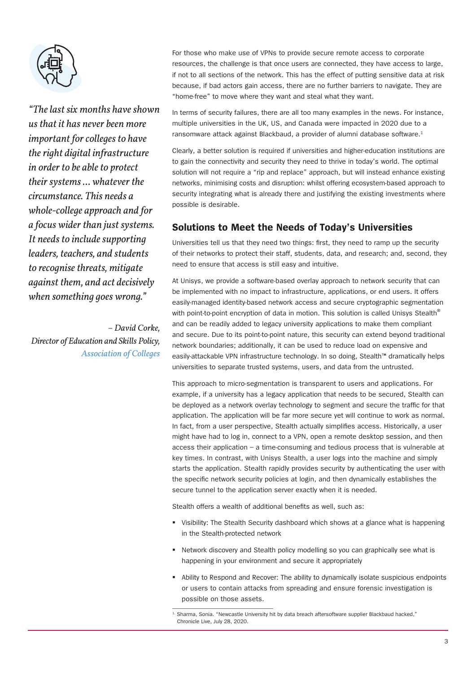

*"The last six months have shown us that it has never been more important for colleges to have the right digital infrastructure in order to be able to protect their systems ... whatever the circumstance. This needs a whole-college approach and for a focus wider than just systems. It needs to include supporting leaders, teachers, and students to recognise threats, mitigate against them, and act decisively when something goes wrong."*

*– David Corke, Director of Education and Skills Policy, [Association of Colleges](https://www.aoc.co.uk/)* For those who make use of VPNs to provide secure remote access to corporate resources, the challenge is that once users are connected, they have access to large, if not to all sections of the network. This has the effect of putting sensitive data at risk because, if bad actors gain access, there are no further barriers to navigate. They are "home-free" to move where they want and steal what they want.

In terms of security failures, there are all too many examples in the news. For instance, multiple universities in the UK, US, and Canada were impacted in 2020 due to a ransomware attack against Blackbaud, a provider of alumni database software.<sup>1</sup>

Clearly, a better solution is required if universities and higher-education institutions are to gain the connectivity and security they need to thrive in today's world. The optimal solution will not require a "rip and replace" approach, but will instead enhance existing networks, minimising costs and disruption: whilst offering ecosystem-based approach to security integrating what is already there and justifying the existing investments where possible is desirable.

## **Solutions to Meet the Needs of Today's Universities**

Universities tell us that they need two things: first, they need to ramp up the security of their networks to protect their staff, students, data, and research; and, second, they need to ensure that access is still easy and intuitive.

At Unisys, we provide a software-based overlay approach to network security that can be implemented with no impact to infrastructure, applications, or end users. It offers easily-managed identity-based network access and secure cryptographic segmentation with point-to-point encryption of data in motion. This solution is called Unisys Stealth® and can be readily added to legacy university applications to make them compliant and secure. Due to its point-to-point nature, this security can extend beyond traditional network boundaries; additionally, it can be used to reduce load on expensive and easily-attackable VPN infrastructure technology. In so doing, Stealth™ dramatically helps universities to separate trusted systems, users, and data from the untrusted.

This approach to micro-segmentation is transparent to users and applications. For example, if a university has a legacy application that needs to be secured, Stealth can be deployed as a network overlay technology to segment and secure the traffic for that application. The application will be far more secure yet will continue to work as normal. In fact, from a user perspective, Stealth actually simplifies access. Historically, a user might have had to log in, connect to a VPN, open a remote desktop session, and then access their application – a time-consuming and tedious process that is vulnerable at key times. In contrast, with Unisys Stealth, a user logs into the machine and simply starts the application. Stealth rapidly provides security by authenticating the user with the specific network security policies at login, and then dynamically establishes the secure tunnel to the application server exactly when it is needed.

Stealth offers a wealth of additional benefits as well, such as:

- Visibility: The Stealth Security dashboard which shows at a glance what is happening in the Stealth-protected network
- Network discovery and Stealth policy modelling so you can graphically see what is happening in your environment and secure it appropriately
- Ability to Respond and Recover: The ability to dynamically isolate suspicious endpoints or users to contain attacks from spreading and ensure forensic investigation is possible on those assets.

<sup>&</sup>lt;sup>1.</sup> Sharma, Sonia. "Newcastle University hit by data breach aftersoftware supplier Blackbaud hacked," Chronicle Live, July 28, 2020.